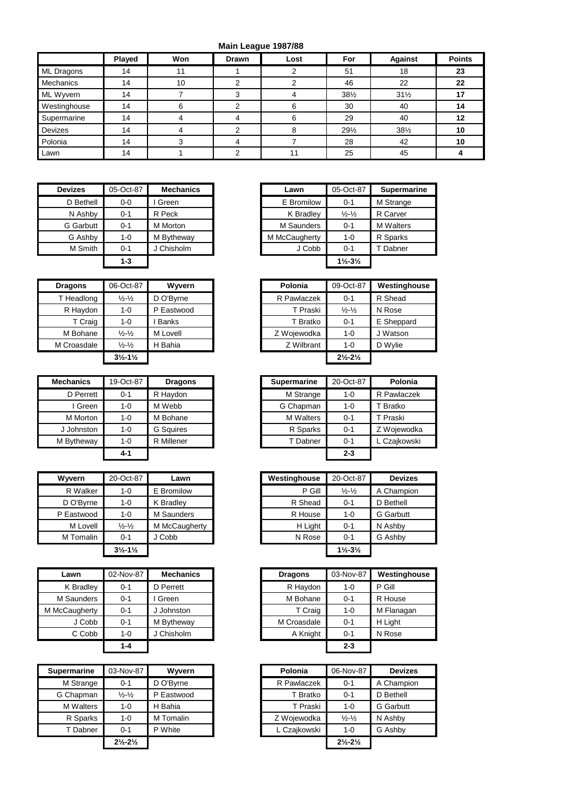## **Main League 1987/88**

|              | Played | Won | <b>Drawn</b> | Lost | For             | <b>Against</b>  | <b>Points</b> |
|--------------|--------|-----|--------------|------|-----------------|-----------------|---------------|
| ML Dragons   | 14     |     |              |      | 51              | 18              | 23            |
| Mechanics    | 14     | 10  |              |      | 46              | 22              | 22            |
| ML Wyvern    | 14     |     |              |      | $38\frac{1}{2}$ | $31\frac{1}{2}$ | 17            |
| Westinghouse | 14     | 6   |              | 6    | 30              | 40              | 14            |
| Supermarine  | 14     |     |              | 6    | 29              | 40              | 12            |
| Devizes      | 14     |     |              | 8    | 291/2           | $38\frac{1}{2}$ | 10            |
| Polonia      | 14     |     |              |      | 28              | 42              | 10            |
| Lawn         | 14     |     |              |      | 25              | 45              |               |

| <b>Devizes</b>   | 05-Oct-87 | <b>Mechanics</b> |
|------------------|-----------|------------------|
| D Bethell        | $0 - 0$   | I Green          |
| N Ashby          | $0 - 1$   | R Peck           |
| <b>G</b> Garbutt | $0 - 1$   | <b>M</b> Morton  |
| G Ashby          | $1 - 0$   | M Bytheway       |
| M Smith          | $0 - 1$   | J Chisholm       |
|                  | $1 - 3$   |                  |

| <b>Devizes</b>   | 05-Oct-87 | <b>Mechanics</b> | Lawn          | 05-Oct-87                     | <b>Supermarine</b> |
|------------------|-----------|------------------|---------------|-------------------------------|--------------------|
| D Bethell        | $0-0$     | Green            | E Bromilow    | $0 - 1$                       | M Strange          |
| N Ashby          | $0 - 1$   | R Peck           | K Bradley     | $\frac{1}{2} - \frac{1}{2}$   | R Carver           |
| <b>G</b> Garbutt | $0 - 1$   | M Morton         | M Saunders    | $0 - 1$                       | <b>M</b> Walters   |
| G Ashby          | $1 - 0$   | M Bytheway       | M McCaugherty | $1 - 0$                       | R Sparks           |
| M Smith          | $0 - 1$   | J Chisholm       | J Cobb        | $0 - 1$                       | Dabner             |
|                  | $1 - 3$   |                  |               | $1\frac{1}{2} - 3\frac{1}{2}$ |                    |
|                  |           |                  |               |                               |                    |

| <b>Dragons</b> | 06-Oct-87                     | Wyvern     | Polonia     | 09-Oct-87                     | Westing  |
|----------------|-------------------------------|------------|-------------|-------------------------------|----------|
| T Headlong     | $\frac{1}{2}$ - $\frac{1}{2}$ | D O'Byrne  | R Pawlaczek | $0 - 1$                       | R Shead  |
| R Haydon       | $1 - 0$                       | P Eastwood | T Praski    | $\frac{1}{2} - \frac{1}{2}$   | N Rose   |
| T Craig        | $1 - 0$                       | Banks      | T Bratko    | $0 - 1$                       | E Sheppa |
| M Bohane       | $\frac{1}{2}$ - $\frac{1}{2}$ | M Lovell   | Z Wojewodka | $1 - 0$                       | J Watson |
| M Croasdale    | $\frac{1}{2} - \frac{1}{2}$   | H Bahia    | Z Wilbrant  | $1 - 0$                       | D Wylie  |
|                | $3\frac{1}{2} - 1\frac{1}{2}$ |            |             | $2\frac{1}{2} - 2\frac{1}{2}$ |          |

| <b>Mechanics</b> | 19-Oct-87 | <b>Dragons</b>   | <b>Supermarine</b> | 20-Oct-87 |
|------------------|-----------|------------------|--------------------|-----------|
| D Perrett        | $0 - 1$   | R Haydon         | M Strange          | $1 - 0$   |
| Green            | $1 - 0$   | M Webb           | G Chapman          | $1 - 0$   |
| M Morton         | $1 - 0$   | M Bohane         | <b>M</b> Walters   | $0 - 1$   |
| J Johnston       | $1 - 0$   | <b>G</b> Squires | R Sparks           | $0 - 1$   |
| M Bytheway       | $1 - 0$   | R Millener       | T Dabner           | $0 - 1$   |
|                  | $4 - 1$   |                  |                    | $2 - 3$   |

| Wyvern     | 20-Oct-87                     | Lawn          |  | Westinghouse | 20-Oct-87                     | Deviz            |
|------------|-------------------------------|---------------|--|--------------|-------------------------------|------------------|
| R Walker   | $1 - 0$                       | E Bromilow    |  | P Gill       | $\frac{1}{2} - \frac{1}{2}$   | A Champi         |
| D O'Byrne  | $1 - 0$                       | K Bradley     |  | R Shead      | $0 - 1$                       | D Bethell        |
| P Eastwood | $1 - 0$                       | M Saunders    |  | R House      | $1 - 0$                       | <b>G</b> Garbutt |
| M Lovell   | $\frac{1}{2}$ - $\frac{1}{2}$ | M McCaugherty |  | H Light      | $0 - 1$                       | N Ashby          |
| M Tomalin  | $0 - 1$                       | J Cobb        |  | N Rose       | $0 - 1$                       | G Ashby          |
|            | $3\frac{1}{2} - 1\frac{1}{2}$ |               |  |              | $1\frac{1}{2} - 3\frac{1}{2}$ |                  |

| Lawn          | 02-Nov-87 | <b>Mechanics</b> | <b>Dragons</b> | 03-Nov-87 | Westingho  |
|---------------|-----------|------------------|----------------|-----------|------------|
| K Bradley     | 0-1       | D Perrett        | R Haydon       | 1-0       | P Gill     |
| M Saunders    | 0-1       | Green            | M Bohane       | $0 - 1$   | R House    |
| M McCaugherty | 0-1       | J Johnston       | T Craig        | 1-0       | M Flanagan |
| J Cobb        | 0-1       | M Bytheway       | M Croasdale    | $0 - 1$   | H Light    |
| C Cobb        | 1-0       | J Chisholm       | A Knight       | $0 - 1$   | N Rose     |
|               | $1 - A$   |                  |                | つ_?       |            |

| <b>Supermarine</b> | 03-Nov-87                     | Wyvern     | Polonia      | 06-Nov-87                     |                  |
|--------------------|-------------------------------|------------|--------------|-------------------------------|------------------|
| M Strange          | 0-1                           | D O'Bvrne  | R Pawlaczek  | $0 - 1$                       | A Champion       |
| G Chapman          | $\frac{1}{2} - \frac{1}{2}$   | P Eastwood | T Bratko     | $0 - 1$                       | D Bethell        |
| <b>M</b> Walters   | $1 - 0$                       | H Bahia    | T Praski     | $1 - 0$                       | <b>G</b> Garbutt |
| R Sparks           | $1 - 0$                       | M Tomalin  | Z Woiewodka  | $\frac{1}{2} - \frac{1}{2}$   | N Ashby          |
| T Dabner           | $0 - 1$                       | P White    | L Czaikowski | $1 - 0$                       | G Ashby          |
|                    | $2\frac{1}{2} - 2\frac{1}{2}$ |            |              | $2\frac{1}{2} - 2\frac{1}{2}$ |                  |

| <b>Dragons</b> | 06-Oct-87                     | Wyvern       | Polonia     | 09-Oct-87                     | Westinghouse |
|----------------|-------------------------------|--------------|-------------|-------------------------------|--------------|
| T Headlong     | $\frac{1}{2}$ - $\frac{1}{2}$ | D O'Byrne    | R Pawlaczek | $0 - 1$                       | R Shead      |
| R Haydon       | $1 - 0$                       | P Eastwood   | T Praski    | $\frac{1}{2} - \frac{1}{2}$   | N Rose       |
| T Craig        | 1-0                           | <b>Banks</b> | T Bratko    | $0 - 1$                       | E Sheppard   |
| M Bohane       | $\frac{1}{2}$ - $\frac{1}{2}$ | M Lovell     | Z Wojewodka | $1 - 0$                       | J Watson     |
| M Croasdale    | $\frac{1}{2}$ - $\frac{1}{2}$ | Bahia<br>н   | Z Wilbrant  | $1 - 0$                       | D Wylie      |
|                | $3\frac{1}{2} - 1\frac{1}{2}$ |              |             | $2\frac{1}{2} - 2\frac{1}{2}$ |              |

| lechanics  | 19-Oct-87 | <b>Dragons</b>   |
|------------|-----------|------------------|
| D Perrett  | $0 - 1$   | R Haydon         |
| Green      | $1 - 0$   | M Webb           |
| M Morton   | $1 - 0$   | M Bohane         |
| J Johnston | $1 - 0$   | <b>G</b> Squires |
| M Bytheway | $1-0$     | R Millener       |
|            | $4 - 1$   |                  |
|            |           |                  |

| Wvvern     | 20-Oct-87                     | Lawn          | Westinghouse | 20-Oct-87                     | <b>Devizes</b>   |
|------------|-------------------------------|---------------|--------------|-------------------------------|------------------|
| R Walker   | $1 - 0$                       | E Bromilow    | P Gill       | $\frac{1}{2} - \frac{1}{2}$   | A Champion       |
| D O'Byrne  | 1-0                           | K Bradley     | R Shead      | $0 - 1$                       | D Bethell        |
| P Eastwood | $1 - 0$                       | M Saunders    | R House      | $1 - 0$                       | <b>G</b> Garbutt |
| M Lovell   | $\frac{1}{2} - \frac{1}{2}$   | M McCaugherty | H Light      | $0 - 1$                       | N Ashby          |
| M Tomalin  | $0 - 1$                       | J Cobb        | N Rose       | $0 - 1$                       | G Ashby          |
|            | $3\frac{1}{2} - 1\frac{1}{2}$ |               |              | $1\frac{1}{2} - 3\frac{1}{2}$ |                  |

| Lawn       | 02-Nov-87 | <b>Mechanics</b> | <b>Dragons</b> | 03-Nov-87 | Westinghouse |
|------------|-----------|------------------|----------------|-----------|--------------|
| K Bradley  | $0 - 1$   | D Perrett        | R Haydon       | 1-0       | P Gill       |
| I Saunders | $0 - 1$   | Green            | M Bohane       | $0 - 1$   | R House      |
| :Caugherty | $0 - 1$   | J Johnston       | T Craig        | $1 - 0$   | M Flanagan   |
| J Cobb     | $0 - 1$   | M Bytheway       | M Croasdale    | $0 - 1$   | H Light      |
| C Cobb     | $1 - 0$   | J Chisholm       | A Knight       | $0 - 1$   | N Rose       |
|            | $1 - 4$   |                  |                | $2 - 3$   |              |

| ermarine  | 03-Nov-87                     | Wyvern     | Polonia      | 06-Nov-87                     | <b>Devizes</b>   |
|-----------|-------------------------------|------------|--------------|-------------------------------|------------------|
| M Strange | $0 - 1$                       | D O'Byrne  | R Pawlaczek  | $0 - 1$                       | A Champion       |
| Chapman   | $\frac{1}{2} - \frac{1}{2}$   | P Eastwood | T Bratko     | $0 - 1$                       | D Bethell        |
| M Walters | $1 - 0$                       | H Bahia    | T Praski     | $1 - 0$                       | <b>G</b> Garbutt |
| R Sparks  | $1 - 0$                       | M Tomalin  | Z Wojewodka  | $\frac{1}{2} - \frac{1}{2}$   | N Ashby          |
| T Dabner  | $0 - 1$                       | P White    | L Czajkowski | $1 - 0$                       | G Ashby          |
|           | $2\frac{1}{2} - 2\frac{1}{2}$ |            |              | $2\frac{1}{2} - 2\frac{1}{2}$ |                  |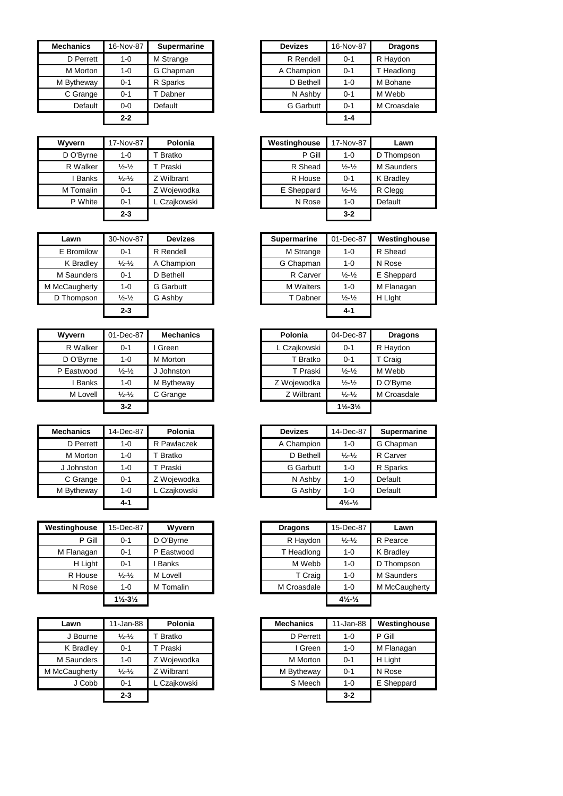| <b>Mechanics</b> | 16-Nov-87 | <b>Supermarine</b> | <b>Devizes</b>   | 16-Nov-87 | <b>Dragons</b> |
|------------------|-----------|--------------------|------------------|-----------|----------------|
| D Perrett        | 1-0       | M Strange          | R Rendell        | $0 - 1$   | R Haydon       |
| M Morton         | 1-0       | G Chapman          | A Champion       | $0 - 1$   | T Headlong     |
| M Bytheway       | 0-1       | R Sparks           | D Bethell        | 1-0       | M Bohane       |
| C Grange         | 0-1       | Dabner             | N Ashby          | $0 - 1$   | M Webb         |
| Default          | $0-0$     | Default            | <b>G</b> Garbutt | $0 - 1$   | M Croasdale    |
|                  | $2 - 2$   |                    |                  | 1-4       |                |

| <b>Wyvern</b> | 17-Nov-87                     | Polonia       | Westinghouse | 17-Nov-87                   |
|---------------|-------------------------------|---------------|--------------|-----------------------------|
| D O'Byrne     | 1-0                           | <b>Bratko</b> | P Gill       | 1-0                         |
| R Walker      | $\frac{1}{2}$ - $\frac{1}{2}$ | Praski        | R Shead      | $\frac{1}{2} - \frac{1}{2}$ |
| Banks         | $\frac{1}{2} - \frac{1}{2}$   | Z Wilbrant    | R House      | $0 - 1$                     |
| M Tomalin     | 0-1                           | Z Wojewodka   | E Sheppard   | $\frac{1}{2} - \frac{1}{2}$ |
| P White       | $0 - 1$                       | L Czajkowski  | N Rose       | $1 - 0$                     |
|               | $2 - 3$                       |               |              | $3-2$                       |

| Lawn          | 30-Nov-87                     | <b>Devizes</b>   | <b>Supermarine</b> | 01-Dec-87                   | Westingho  |
|---------------|-------------------------------|------------------|--------------------|-----------------------------|------------|
| E Bromilow    | $0 - 1$                       | R Rendell        | M Strange          | 1-0                         | R Shead    |
| K Bradley     | $\frac{1}{2} - \frac{1}{2}$   | A Champion       | G Chapman          | $1 - 0$                     | N Rose     |
| M Saunders    | $0 - 1$                       | D Bethell        | R Carver           | $\frac{1}{2} - \frac{1}{2}$ | E Sheppard |
| M McCaugherty | 1-0                           | <b>G</b> Garbutt | <b>M</b> Walters   | $1 - 0$                     | M Flanagan |
| D Thompson    | $\frac{1}{2}$ - $\frac{1}{2}$ | G Ashby          | T Dabner           | $\frac{1}{2} - \frac{1}{2}$ | H Light    |
|               | $2 - 3$                       |                  |                    | $4 - 1$                     |            |

| Wyvern     | 01-Dec-87                     | <b>Mechanics</b> | Polonia      | 04-Dec-87                     | Drac    |
|------------|-------------------------------|------------------|--------------|-------------------------------|---------|
| R Walker   | $0 - 1$                       | Green            | L Czajkowski | $0 - 1$                       | R Haydo |
| D O'Byrne  | $1 - 0$                       | M Morton         | T Bratko     | $0 - 1$                       | T Craig |
| P Eastwood | $\frac{1}{2}$ - $\frac{1}{2}$ | J Johnston       | T Praski     | $\frac{1}{2}$ $\frac{1}{2}$   | M Webb  |
| Banks      | $1 - 0$                       | M Bytheway       | Z Wojewodka  | $\frac{1}{2}$ - $\frac{1}{2}$ | D O'Byr |
| M Lovell   | $\frac{1}{2} - \frac{1}{2}$   | C Grange         | Z Wilbrant   | $\frac{1}{2} - \frac{1}{2}$   | M Croas |
|            | $3 - 2$                       |                  |              | $1\frac{1}{2} - 3\frac{1}{2}$ |         |

| <b>Mechanics</b> | 14-Dec-87 | Polonia      | <b>Devizes</b> | 14-Dec-87                      | Superm   |
|------------------|-----------|--------------|----------------|--------------------------------|----------|
| D Perrett        | 1-0       | R Pawlaczek  | A Champion     | $1 - 0$                        | G Chapm  |
| M Morton         | $1 - 0$   | T Bratko     | D Bethell      | $\frac{1}{2} - \frac{1}{2}$    | R Carver |
| J Johnston       | $1 - 0$   | T Praski     | G Garbutt      | $1 - 0$                        | R Sparks |
| C Grange         | $0 - 1$   | Z Wojewodka  | N Ashby        | $1 - 0$                        | Default  |
| M Bytheway       | $1 - 0$   | L Czajkowski | G Ashby        | $1 - 0$                        | Default  |
|                  | 4-1       |              |                | $4\frac{1}{2}$ - $\frac{1}{2}$ |          |

| Westinghouse | 15-Dec-87                     | Wyvern       | <b>Dragons</b> | 15-Dec-87                      | Lawn      |
|--------------|-------------------------------|--------------|----------------|--------------------------------|-----------|
| P Gill       | $0 - 1$                       | D O'Bvrne    | R Haydon       | $\frac{1}{2}$ - $\frac{1}{2}$  | R Pearce  |
| M Flanagan   | $0 - 1$                       | P Eastwood   | T Headlong     | $1 - 0$                        | K Bradley |
| H Light      | $0 - 1$                       | <b>Banks</b> | M Webb         | $1 - 0$                        | D Thomps  |
| R House      | $\frac{1}{2}$ - $\frac{1}{2}$ | M Lovell     | T Craig        | $1 - 0$                        | M Saunder |
| N Rose       | $1 - 0$                       | M Tomalin    | M Croasdale    | $1 - 0$                        | M McCaug  |
|              | $1\frac{1}{2} - 3\frac{1}{2}$ |              |                | $4\frac{1}{2}$ - $\frac{1}{2}$ |           |

| Lawn          | 11-Jan-88                   | Polonia      | <b>Mechanics</b> | 11-Jan-88 | Westir  |
|---------------|-----------------------------|--------------|------------------|-----------|---------|
| J Bourne      | $\frac{1}{2} - \frac{1}{2}$ | T Bratko     | D Perrett        | $1 - 0$   | P Gill  |
| K Bradley     | $0 - 1$                     | T Praski     | I Green          | $1 - 0$   | M Flana |
| M Saunders    | $1 - 0$                     | Z Woiewodka  | M Morton         | $0 - 1$   | H Light |
| M McCaugherty | $\frac{1}{2} - \frac{1}{2}$ | Z Wilbrant   | M Bytheway       | $0 - 1$   | N Rose  |
| J Cobb        | $0 - 1$                     | L Czajkowski | S Meech          | $1 - 0$   | E Shep  |
|               | $2 - 3$                     |              |                  | $3 - 2$   |         |

| hanics    | 16-Nov-87 | <b>Supermarine</b> | <b>Devizes</b>   | 16-Nov-87 | <b>Dragons</b> |
|-----------|-----------|--------------------|------------------|-----------|----------------|
| D Perrett | 1-0       | M Strange          | R Rendell        | $0 - 1$   | R Haydon       |
| M Morton  | $1 - 0$   | G Chapman          | A Champion       | $0 - 1$   | T Headlong     |
| Bytheway  | $0 - 1$   | R Sparks           | D Bethell        | $1 - 0$   | M Bohane       |
| C Grange  | $0 - 1$   | Dabner             | N Ashby          | $0 - 1$   | M Webb         |
| Default   | $0-0$     | Default            | <b>G</b> Garbutt | $0 - 1$   | M Croasdale    |
|           | $2 - 2$   |                    |                  | $1 - 4$   |                |

| /wern        | 17-Nov-87                   | Polonia             | Westinghouse | 17-Nov-87                   | Lawn              |
|--------------|-----------------------------|---------------------|--------------|-----------------------------|-------------------|
| D O'Byrne    | $1 - 0$                     | Bratko              | P Gill       | $1 - 0$                     | D Thompson        |
| R Walker     | $\frac{1}{2} - \frac{1}{2}$ | <sup>'</sup> Praski | R Shead      | $\frac{1}{2} - \frac{1}{2}$ | <b>M</b> Saunders |
| <b>Banks</b> | $\frac{1}{2} - \frac{1}{2}$ | Z Wilbrant          | R House      | $0 - 1$                     | K Bradley         |
| M Tomalin    | $0 - 1$                     | Z Wojewodka         | E Sheppard   | $\frac{1}{2} - \frac{1}{2}$ | R Clegg           |
| P White      | $0 - 1$                     | . Czaikowski        | N Rose       | $1 - 0$                     | Default           |
|              | $2 - 3$                     |                     |              | $3 - 2$                     |                   |

| Lawn               | 30-Nov-87                   | <b>Devizes</b>   | <b>Supermarine</b> | 01-Dec-87                   | Westinghouse |
|--------------------|-----------------------------|------------------|--------------------|-----------------------------|--------------|
| E Bromilow         | $0 - 1$                     | R Rendell        | M Strange          | 1-0                         | R Shead      |
| K Bradley          | $\frac{1}{2} - \frac{1}{2}$ | A Champion       | G Chapman          | 1-0                         | N Rose       |
| M Saunders         | $0 - 1$                     | D Bethell        | R Carver           | $\frac{1}{2} - \frac{1}{2}$ | E Sheppard   |
| <b>IcCaugherty</b> | 1-0                         | <b>G</b> Garbutt | <b>M</b> Walters   | $1 - 0$                     | M Flanagan   |
| Thompson           | $\frac{1}{2} - \frac{1}{2}$ | G Ashby          | T Dabner           | $\frac{1}{2} - \frac{1}{2}$ | H Light      |
|                    | $2 - 3$                     |                  |                    | 4-1                         |              |

| Wvvern       | 01-Dec-87                   | <b>Mechanics</b> |
|--------------|-----------------------------|------------------|
| R Walker     | $0 - 1$                     | Green            |
| D O'Byrne    | 1-0                         | M Morton         |
| P Eastwood   | $\frac{1}{2} - \frac{1}{2}$ | J Johnston       |
| <b>Banks</b> | $1 - 0$                     | M Bytheway       |
| M Lovell     | $\frac{1}{2} - \frac{1}{2}$ | C Grange         |
|              | $3-2$                       |                  |

| Mechanics  | 14-Dec-87 | Polonia             |
|------------|-----------|---------------------|
| D Perrett  | $1 - 0$   | R Pawlaczek         |
| M Morton   | $1 - 0$   | <sup>-</sup> Bratko |
| J Johnston | $1 - 0$   | T Praski            |
| C Grange   | $0 - 1$   | Z Wojewodka         |
| M Bytheway | $1 - 0$   | L Czaikowski        |
|            | 4-1       |                     |

| <b>ghouse</b> | 15-Dec-87                     | Wyvern       | <b>Dragons</b> | 15-Dec-87                      | Lawn          |
|---------------|-------------------------------|--------------|----------------|--------------------------------|---------------|
| P Gill        | $0 - 1$                       | D O'Byrne    | R Haydon       | $\frac{1}{2} - \frac{1}{2}$    | R Pearce      |
| Flanagan      | $0 - 1$                       | P Eastwood   | T Headlong     | $1 - 0$                        | K Bradley     |
| H Light       | $0 - 1$                       | <b>Banks</b> | M Webb         | $1 - 0$                        | D Thompson    |
| R House       | $\frac{1}{2} - \frac{1}{2}$   | M Lovell     | T Craig        | $1 - 0$                        | M Saunders    |
| N Rose        | $1 - 0$                       | M Tomalin    | M Croasdale    | $1 - 0$                        | M McCaugherty |
|               | $1\frac{1}{2} - 3\frac{1}{2}$ |              |                | $4\frac{1}{2}$ - $\frac{1}{2}$ |               |

| Lawn       | 11-Jan-88                     | Polonia             | <b>Mechanics</b> | 11-Jan-88 | Westinghouse |
|------------|-------------------------------|---------------------|------------------|-----------|--------------|
| J Bourne   | $\frac{1}{2} - \frac{1}{2}$   | <sup>'</sup> Bratko | D Perrett        | $1 - 0$   | P Gill       |
| K Bradley  | $0 - 1$                       | T Praski            | I Green          | $1 - 0$   | M Flanagan   |
| 1 Saunders | $1 - 0$                       | Z Woiewodka         | M Morton         | $0 - 1$   | H Light      |
| :Caugherty | $\frac{1}{2}$ - $\frac{1}{2}$ | Z Wilbrant          | M Bytheway       | $0 - 1$   | N Rose       |
| J Cobb     | $0 - 1$                       | L Czaikowski        | S Meech          | $1 - 0$   | E Sheppard   |
|            | $2 - 3$                       |                     |                  | $3 - 2$   |              |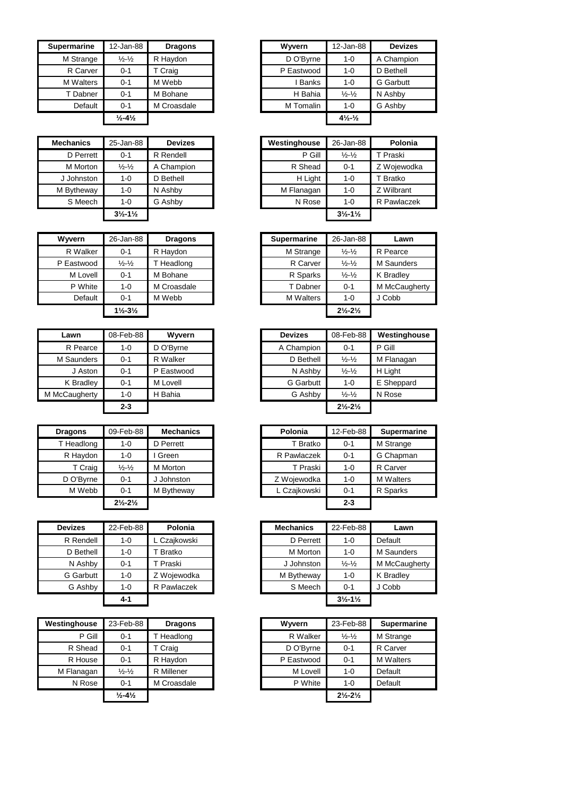| Supermarine | 12-Jan-88                    | <b>Dragons</b> | Wyvern       | 12-Jan-88                      |                  |
|-------------|------------------------------|----------------|--------------|--------------------------------|------------------|
| M Strange   | $\frac{1}{2} - \frac{1}{2}$  | R Haydon       | D O'Byrne    | $1 - 0$                        | A Champion       |
| R Carver    | 0-1                          | T Craig        | P Eastwood   | $1 - 0$                        | D Bethell        |
| M Walters   | 0-1                          | M Webb         | <b>Banks</b> | $1 - 0$                        | <b>G</b> Garbutt |
| T Dabner    | 0-1                          | M Bohane       | H Bahia      | $\frac{1}{2} - \frac{1}{2}$    | N Ashby          |
| Default     | $0 - 1$                      | M Croasdale    | M Tomalin    | $1 - 0$                        | G Ashby          |
|             | $\frac{1}{2} - 4\frac{1}{2}$ |                |              | $4\frac{1}{2}$ - $\frac{1}{2}$ |                  |

| <b>Mechanics</b> | 25-Jan-88                     | <b>Devizes</b> | Westinghouse | 26-Jan-88                     | Polonia    |
|------------------|-------------------------------|----------------|--------------|-------------------------------|------------|
| D Perrett        | $0 - 1$                       | R Rendell      | P Gill       | $\frac{1}{2} - \frac{1}{2}$   | Praski     |
| M Morton         | $\frac{1}{2} - \frac{1}{2}$   | A Champion     | R Shead      | $0 - 1$                       | Z Wojewodk |
| J Johnston       | $1 - 0$                       | D Bethell      | H Light      | $1 - 0$                       | T Bratko   |
| M Bytheway       | 1-0                           | N Ashby        | M Flanagan   | 1-0                           | Z Wilbrant |
| S Meech          | $1 - 0$                       | G Ashby        | N Rose       | 1-0                           | R Pawlacze |
|                  | $3\frac{1}{2} - 1\frac{1}{2}$ |                |              | $3\frac{1}{2} - 1\frac{1}{2}$ |            |

| <b>Wyvern</b> | 26-Jan-88                     | <b>Dragons</b> | <b>Supermarine</b> | 26-Jan-88                     | Lawn      |
|---------------|-------------------------------|----------------|--------------------|-------------------------------|-----------|
| R Walker      | $0 - 1$                       | R Haydon       | M Strange          | $\frac{1}{2} - \frac{1}{2}$   | R Pearce  |
| P Eastwood    | $\frac{1}{2} - \frac{1}{2}$   | Headlong       | R Carver           | $\frac{1}{2} - \frac{1}{2}$   | M Saunder |
| M Lovell      | $0 - 1$                       | M Bohane       | R Sparks           | $\frac{1}{2} - \frac{1}{2}$   | K Bradley |
| P White       | $1 - 0$                       | M Croasdale    | T Dabner           | $0 - 1$                       | M McCaug  |
| Default       | $0 - 1$                       | M Webb         | <b>M</b> Walters   | $1 - 0$                       | J Cobb    |
|               | $1\frac{1}{2} - 3\frac{1}{2}$ |                |                    | $2\frac{1}{2} - 2\frac{1}{2}$ |           |

| Lawn          | 08-Feb-88 | Wyvern     | <b>Devizes</b>   | 08-Feb-88                     |
|---------------|-----------|------------|------------------|-------------------------------|
| R Pearce      | 1-0       | D O'Byrne  | A Champion       | $0 - 1$                       |
| M Saunders    | $0 - 1$   | R Walker   | D Bethell        | $\frac{1}{2}$ $\frac{1}{2}$   |
| J Aston       | $0 - 1$   | P Eastwood | N Ashby          | $\frac{1}{2} - \frac{1}{2}$   |
| K Bradley     | 0-1       | M Lovell   | <b>G</b> Garbutt | $1 - 0$                       |
| M McCaugherty | 1-0       | H Bahia    | G Ashby          | $\frac{1}{2} - \frac{1}{2}$   |
|               | $2 - 3$   |            |                  | $2\frac{1}{2} - 2\frac{1}{2}$ |

| <b>Dragons</b> | 09-Feb-88                     | <b>Mechanics</b> | Polonia      | 12-Feb-88 | Superma          |
|----------------|-------------------------------|------------------|--------------|-----------|------------------|
| T Headlong     | $1 - 0$                       | D Perrett        | T Bratko     | $0 - 1$   | M Strange        |
| R Haydon       | $1 - 0$                       | Green            | R Pawlaczek  | $0 - 1$   | G Chapma         |
| T Craig        | $\frac{1}{2} - \frac{1}{2}$   | M Morton         | T Praski     | $1 - 0$   | R Carver         |
| D O'Byrne      | $0 - 1$                       | Johnston         | Z Wojewodka  | $1 - 0$   | <b>M</b> Walters |
| M Webb         | $0 - 1$                       | M Bytheway       | L Czajkowski | $0 - 1$   | R Sparks         |
|                | $2\frac{1}{2} - 2\frac{1}{2}$ |                  |              | $2 - 3$   |                  |

| <b>Devizes</b>   | 22-Feb-88 | Polonia       | <b>Mechanics</b> | 22-Feb-88                     |
|------------------|-----------|---------------|------------------|-------------------------------|
| R Rendell        | 1-0       | L Czaikowski  | D Perrett        | $1 - 0$                       |
| D Bethell        | $1 - 0$   | <b>Bratko</b> | M Morton         | $1 - 0$                       |
| N Ashby          | $0 - 1$   | T Praski      | J Johnston       | $\frac{1}{2} - \frac{1}{2}$   |
| <b>G</b> Garbutt | $1 - 0$   | Z Woiewodka   | M Bytheway       | $1 - 0$                       |
| G Ashby          | $1 - 0$   | R Pawlaczek   | S Meech          | $0 - 1$                       |
|                  | 4-1       |               |                  | $3\frac{1}{2} - 1\frac{1}{2}$ |

| 23-Feb-88                    | <b>Dragons</b> |
|------------------------------|----------------|
| $0 - 1$                      | T Headlong     |
| $0 - 1$                      | T Craig        |
| $0 - 1$                      | R Haydon       |
| $\frac{1}{2} - \frac{1}{2}$  | R Millener     |
| $0 - 1$                      | M Croasdale    |
| $\frac{1}{2} - 4\frac{1}{2}$ |                |
|                              |                |

| 12-Jan-88                    | <b>Dragons</b> |         | 12-Jan-88                                      | <b>Devizes</b>   |
|------------------------------|----------------|---------|------------------------------------------------|------------------|
| $\frac{1}{2} - \frac{1}{2}$  | R Haydon       |         | 1-0                                            | A Champion       |
| $0 - 1$                      | T Craig        |         | 1-0                                            | D Bethell        |
| $0 - 1$                      | M Webb         | Banks   | 1-0                                            | <b>G</b> Garbutt |
| $0 - 1$                      | M Bohane       | H Bahia | $\frac{1}{2} - \frac{1}{2}$                    | N Ashby          |
| $0 - 1$                      | M Croasdale    |         | 1-0                                            | G Ashby          |
| $\frac{1}{2} - 4\frac{1}{2}$ |                |         | $4\frac{1}{2}$ - $\frac{1}{2}$                 |                  |
|                              |                |         | Wyvern<br>D O'Byrne<br>P Eastwood<br>M Tomalin |                  |

| hanics    | 25-Jan-88                     | <b>Devizes</b> | Westinghouse | 26-Jan-88                     | Polonia     |
|-----------|-------------------------------|----------------|--------------|-------------------------------|-------------|
| D Perrett | $0 - 1$                       | R Rendell      | P Gill       | $\frac{1}{2} - \frac{1}{2}$   | T Praski    |
| M Morton  | $\frac{1}{2}$ - $\frac{1}{2}$ | A Champion     | R Shead      | $0 - 1$                       | Z Wojewodka |
| Johnston  | $1 - 0$                       | D Bethell      | H Light      | $1 - 0$                       | T Bratko    |
| Bytheway  | $1 - 0$                       | N Ashby        | M Flanagan   | $1 - 0$                       | Z Wilbrant  |
| S Meech   | $1 - 0$                       | G Ashby        | N Rose       | $1 - 0$                       | R Pawlaczek |
|           | $3\frac{1}{2} - 1\frac{1}{2}$ |                |              | $3\frac{1}{2} - 1\frac{1}{2}$ |             |

| Wyvern     | 26-Jan-88                     | <b>Dragons</b> |
|------------|-------------------------------|----------------|
| R Walker   | $0 - 1$                       | R Haydon       |
| P Eastwood | $\frac{1}{2} - \frac{1}{2}$   | Headlong       |
| M Lovell   | $0 - 1$                       | M Bohane       |
| P White    | 1-0                           | M Croasdale    |
| Default    | $0 - 1$                       | M Webb         |
|            | $1\frac{1}{2} - 3\frac{1}{2}$ |                |
|            |                               |                |

| Lawn       | 08-Feb-88 | Wyvern     | <b>Devizes</b>   | 08-Feb-88                     | Westinghouse |
|------------|-----------|------------|------------------|-------------------------------|--------------|
| R Pearce   | $1 - 0$   | D O'Byrne  | A Champion       | $0 - 1$                       | P Gill       |
| 1 Saunders | $0 - 1$   | R Walker   | D Bethell        | $\frac{1}{2} - \frac{1}{2}$   | M Flanagan   |
| J Aston    | $0 - 1$   | P Eastwood | N Ashby          | $\frac{1}{2} - \frac{1}{2}$   | H Light      |
| K Bradley  | $0 - 1$   | M Lovell   | <b>G</b> Garbutt | $1 - 0$                       | E Sheppard   |
| :Caugherty | $1 - 0$   | H Bahia    | G Ashby          | $\frac{1}{2} - \frac{1}{2}$   | N Rose       |
|            | $2 - 3$   |            |                  | $2\frac{1}{2} - 2\frac{1}{2}$ |              |
|            |           |            |                  |                               |              |

| <b>Dragons</b> | 09-Feb-88                     | <b>Mechanics</b> | Polonia      | 12-Feb-88 | <b>Supermarine</b> |
|----------------|-------------------------------|------------------|--------------|-----------|--------------------|
| T Headlong     | 1-0                           | D Perrett        | T Bratko     | $0 - 1$   | M Strange          |
| R Haydon       | $1 - 0$                       | Green            | R Pawlaczek  | $0 - 1$   | G Chapman          |
| T Craig        | $\frac{1}{2} - \frac{1}{2}$   | M Morton         | T Praski     | 1-0       | R Carver           |
| D O'Byrne      | $0 - 1$                       | J Johnston       | Z Wojewodka  | $1 - 0$   | <b>M</b> Walters   |
| M Webb         | $0 - 1$                       | M Bytheway       | L Czajkowski | $0 - 1$   | R Sparks           |
|                | $2\frac{1}{2} - 2\frac{1}{2}$ |                  |              | $2 - 3$   |                    |

| vizes     | 22-Feb-88 | Polonia     | <b>Mechanics</b> | 22-Feb-88                     | Lawn              |
|-----------|-----------|-------------|------------------|-------------------------------|-------------------|
| र Rendell | $1 - 0$   | Czajkowski  | D Perrett        | $1 - 0$                       | Default           |
| D Bethell | $1 - 0$   | Bratko      | M Morton         | $1 - 0$                       | <b>M</b> Saunders |
| N Ashby   | $0 - 1$   | T Praski    | J Johnston       | $\frac{1}{2} - \frac{1}{2}$   | M McCaugherty     |
| 3 Garbutt | $1 - 0$   | Z Wojewodka | M Bytheway       | $1 - 0$                       | K Bradley         |
| G Ashby   | $1 - 0$   | R Pawlaczek | S Meech          | $0 - 1$                       | J Cobb            |
|           | $4 - 1$   |             |                  | $3\frac{1}{2} - 1\frac{1}{2}$ |                   |
|           |           |             |                  |                               |                   |

| Westinghouse | 23-Feb-88                     | <b>Dragons</b> | Wyvern     | 23-Feb-88                     | <b>Supermarine</b> |
|--------------|-------------------------------|----------------|------------|-------------------------------|--------------------|
| P Gill       | $0 - 1$                       | T Headlong     | R Walker   | $\frac{1}{2} - \frac{1}{2}$   | M Strange          |
| R Shead      | $0 - 1$                       | T Craig        | D O'Byrne  | $0 - 1$                       | R Carver           |
| R House      | $0 - 1$                       | R Haydon       | P Eastwood | $0 - 1$                       | <b>M</b> Walters   |
| M Flanagan   | $\frac{1}{2}$ - $\frac{1}{2}$ | R Millener     | M Lovell   | $1 - 0$                       | Default            |
| N Rose       | $0 - 1$                       | M Croasdale    | P White    | $1 - 0$                       | Default            |
|              | $\frac{1}{2} - 4\frac{1}{2}$  |                |            | $2\frac{1}{2} - 2\frac{1}{2}$ |                    |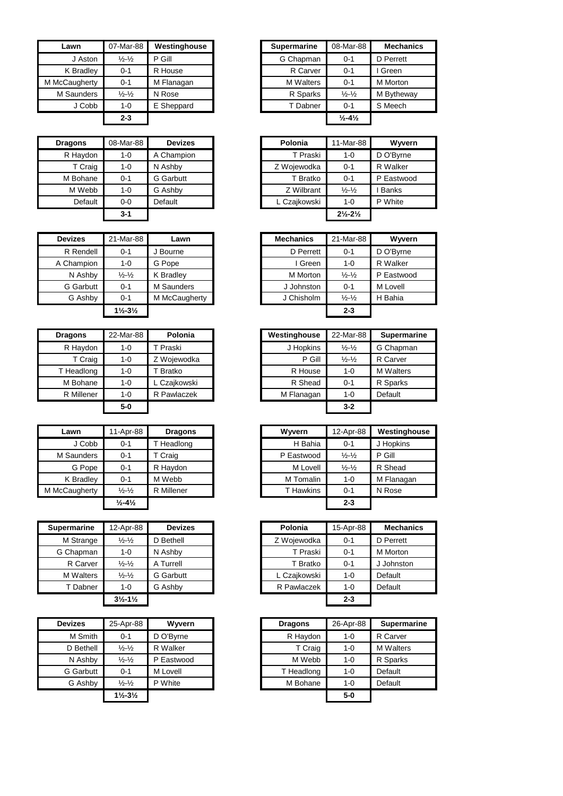| Lawn          | 07-Mar-88                     | Westinghouse | Supermarine      | 08-Mar-88                    | Mecha           |
|---------------|-------------------------------|--------------|------------------|------------------------------|-----------------|
| J Aston       | $\frac{1}{2}$ - $\frac{1}{2}$ | P Gill       | G Chapman        | $0 - 1$                      | D Perrett       |
| K Bradley     | $0 - 1$                       | R House      | R Carver         | $0 - 1$                      | I Green         |
| M McCaugherty | $0 - 1$                       | M Flanagan   | <b>M</b> Walters | $0 - 1$                      | <b>M</b> Morton |
| M Saunders    | $\frac{1}{2}$ - $\frac{1}{2}$ | N Rose       | R Sparks         | $\frac{1}{2} - \frac{1}{2}$  | M Bythev        |
| J Cobb        | $1 - 0$                       | E Sheppard   | T Dabner         | $0 - 1$                      | S Meech         |
|               | $2 - 3$                       |              |                  | $\frac{1}{2} - 4\frac{1}{2}$ |                 |

| <b>Dragons</b> | 08-Mar-88 | <b>Devizes</b>   | Polonia      | 11-Mar-88                     |              |
|----------------|-----------|------------------|--------------|-------------------------------|--------------|
| R Haydon       | $1 - 0$   | A Champion       | T Praski     | $1 - 0$                       | D O'Byi      |
| T Craig        | $1 - 0$   | N Ashby          | Z Wojewodka  | $0 - 1$                       | R Walk       |
| M Bohane       | $0 - 1$   | <b>G</b> Garbutt | T Bratko     | $0 - 1$                       | P Easty      |
| M Webb         | $1 - 0$   | G Ashby          | Z Wilbrant   | $\frac{1}{2} - \frac{1}{2}$   | <b>Banks</b> |
| Default        | $0 - 0$   | Default          | L Czajkowski | $1 - 0$                       | P White      |
|                | $3 - 1$   |                  |              | $2\frac{1}{2} - 2\frac{1}{2}$ |              |

| <b>Devizes</b> | 21-Mar-88                     | Lawn          | <b>Mechanics</b> | 21-Mar-88                   | <b>Wyve</b> |
|----------------|-------------------------------|---------------|------------------|-----------------------------|-------------|
| R Rendell      | $0 - 1$                       | J Bourne      | D Perrett        | $0 - 1$                     | D O'Byrn    |
| A Champion     | $1 - 0$                       | G Pope        | I Green          | $1 - 0$                     | R Walker    |
| N Ashby        | $\frac{1}{2}$ - $\frac{1}{2}$ | K Bradley     | M Morton         | $\frac{1}{2} - \frac{1}{2}$ | P Eastwo    |
| G Garbutt      | $0 - 1$                       | M Saunders    | J Johnston       | $0 - 1$                     | M Lovell    |
| G Ashby        | $0 - 1$                       | M McCaugherty | J Chisholm       | $\frac{1}{2} - \frac{1}{2}$ | H Bahia     |
|                | $1\frac{1}{2} - 3\frac{1}{2}$ |               |                  | $2 - 3$                     |             |

| <b>Dragons</b> | 22-Mar-88 | Polonia      | Westinghouse | 22-Mar-88                   |
|----------------|-----------|--------------|--------------|-----------------------------|
| R Haydon       | 1-0       | T Praski     | J Hopkins    | $\frac{1}{2} - \frac{1}{2}$ |
| T Craig        | $1 - 0$   | Z Wojewodka  | P Gill       | $\frac{1}{2} - \frac{1}{2}$ |
| T Headlong     | $1 - 0$   | T Bratko     | R House      | $1 - 0$                     |
| M Bohane       | $1 - 0$   | L Czajkowski | R Shead      | $0 - 1$                     |
| R Millener     | $1 - 0$   | R Pawlaczek  | M Flanagan   | $1 - 0$                     |
|                | 5-0       |              |              | $3 - 2$                     |

| Lawn          | 11-Apr-88                     | <b>Dragons</b> | Wwern      | 12-Apr-88                   | Westir  |
|---------------|-------------------------------|----------------|------------|-----------------------------|---------|
| J Cobb        | $0 - 1$                       | T Headlong     | H Bahia    | $0 - 1$                     | J Hopki |
| M Saunders    | $0 - 1$                       | T Craig        | P Eastwood | $\frac{1}{2} - \frac{1}{2}$ | P Gill  |
| G Pope        | $0 - 1$                       | R Haydon       | M Lovell   | $\frac{1}{2} - \frac{1}{2}$ | R Shea  |
| K Bradley     | $0 - 1$                       | M Webb         | M Tomalin  | $1 - 0$                     | M Flana |
| M McCaugherty | $\frac{1}{2}$ - $\frac{1}{2}$ | R Millener     | T Hawkins  | $0 - 1$                     | N Rose  |
|               | $\frac{1}{2} - 4\frac{1}{2}$  |                |            | $2 - 3$                     |         |

| <b>Supermarine</b> | 12-Apr-88                     | <b>Devizes</b>   | Polonia      | 15-Apr-88 | <b>Mechanics</b> |
|--------------------|-------------------------------|------------------|--------------|-----------|------------------|
| M Strange          | $\frac{1}{2} - \frac{1}{2}$   | D Bethell        | Z Wojewodka  | $0 - 1$   | D Perrett        |
| G Chapman          | $1 - 0$                       | N Ashby          | T Praski     | $0 - 1$   | M Morton         |
| R Carver           | $\frac{1}{2} - \frac{1}{2}$   | A Turrell        | T Bratko     | $0 - 1$   | J Johnston       |
| M Walters          | $\frac{1}{2} - \frac{1}{2}$   | <b>G</b> Garbutt | L Czajkowski | $1 - 0$   | Default          |
| T Dabner           | $1 - 0$                       | G Ashby          | R Pawlaczek  | $1 - 0$   | Default          |
|                    | $3\frac{1}{2} - 1\frac{1}{2}$ |                  |              | $2 - 3$   |                  |

| <b>Devizes</b> | 25-Apr-88                     | Wwern      | <b>Dragons</b> | 26-Apr-88 |         |
|----------------|-------------------------------|------------|----------------|-----------|---------|
| M Smith        | $0 - 1$                       | D O'Byrne  | R Haydon       | $1 - 0$   | R Carv  |
| D Bethell      | $\frac{1}{2}$ - $\frac{1}{2}$ | R Walker   | T Craig        | $1 - 0$   | M Walt  |
| N Ashby        | $\frac{1}{2}$ - $\frac{1}{2}$ | P Eastwood | M Webb         | $1 - 0$   | R Spar  |
| G Garbutt      | $0 - 1$                       | M Lovell   | T Headlong     | $1 - 0$   | Default |
| G Ashby        | $\frac{1}{2} - \frac{1}{2}$   | P White    | M Bohane       | $1 - 0$   | Default |
|                | $1\frac{1}{2} - 3\frac{1}{2}$ |            |                | $5-0$     |         |
|                |                               |            |                |           |         |

| Lawn               | 07-Mar-88                     | Westinghouse | <b>Supermarine</b> | 08-Mar-88                    | <b>Mechanics</b> |
|--------------------|-------------------------------|--------------|--------------------|------------------------------|------------------|
| J Aston            | $\frac{1}{2} - \frac{1}{2}$   | P Gill       | G Chapman          | $0 - 1$                      | D Perrett        |
| K Bradley          | $0 - 1$                       | R House      | R Carver           | $0 - 1$                      | Green            |
| <b>IcCaugherty</b> | $0 - 1$                       | M Flanagan   | <b>M</b> Walters   | $0 - 1$                      | M Morton         |
| M Saunders         | $\frac{1}{2}$ - $\frac{1}{2}$ | N Rose       | R Sparks           | $\frac{1}{2} - \frac{1}{2}$  | M Bytheway       |
| J Cobb             | $1 - 0$                       | E Sheppard   | T Dabner           | $0 - 1$                      | S Meech          |
|                    | $2 - 3$                       |              |                    | $\frac{1}{2} - 4\frac{1}{2}$ |                  |

| <b>Dragons</b> | 08-Mar-88 | <b>Devizes</b>   |
|----------------|-----------|------------------|
| R Haydon       | 1-0       | A Champion       |
| T Craig        | $1 - 0$   | N Ashby          |
| M Bohane       | $0 - 1$   | <b>G</b> Garbutt |
| M Webb         | $1 - 0$   | G Ashby          |
| Default        | $0-0$     | Default          |
|                | $3 - 1$   |                  |

| <b>Devizes</b> | 21-Mar-88                     | Lawn          |
|----------------|-------------------------------|---------------|
| R Rendell      | $0 - 1$                       | J Bourne      |
| A Champion     | 1-0                           | G Pope        |
| N Ashby        | $\frac{1}{2} - \frac{1}{2}$   | K Bradley     |
| G Garbutt      | 0-1                           | M Saunders    |
| G Ashby        | $0 - 1$                       | M McCaugherty |
|                | $1\frac{1}{2} - 3\frac{1}{2}$ |               |

| <b>Dragons</b> | 22-Mar-88 | Polonia             | Westinghouse | 22-Mar-88                   | <b>Supermarine</b> |
|----------------|-----------|---------------------|--------------|-----------------------------|--------------------|
| R Haydon       | $1 - 0$   | <sup>'</sup> Praski | J Hopkins    | $\frac{1}{2} - \frac{1}{2}$ | G Chapman          |
| T Craig        | $1 - 0$   | Z Wojewodka         | P Gill       | $\frac{1}{2} - \frac{1}{2}$ | R Carver           |
| T Headlong     | $1 - 0$   | Bratko              | R House      | $1 - 0$                     | <b>M</b> Walters   |
| M Bohane       | $1 - 0$   | L Czaikowski        | R Shead      | $0 - 1$                     | R Sparks           |
| R Millener     | $1 - 0$   | R Pawlaczek         | M Flanagan   | 1-0                         | Default            |
|                | $5-0$     |                     |              | $3 - 2$                     |                    |

| Lawn       | 11-Apr-88                    | <b>Dragons</b> | Wyvern     | 12-Apr-88                   | Westinghouse |
|------------|------------------------------|----------------|------------|-----------------------------|--------------|
| J Cobb     | $0 - 1$                      | T Headlong     | H Bahia    | $0 - 1$                     | J Hopkins    |
| 1 Saunders | $0 - 1$                      | T Craig        | P Eastwood | $\frac{1}{2} - \frac{1}{2}$ | P Gill       |
| G Pope     | $0 - 1$                      | R Haydon       | M Lovell   | $\frac{1}{2} - \frac{1}{2}$ | R Shead      |
| K Bradley  | $0 - 1$                      | M Webb         | M Tomalin  | $1 - 0$                     | M Flanagan   |
| :Caugherty | $\frac{1}{2} - \frac{1}{2}$  | R Millener     | T Hawkins  | $0 - 1$                     | N Rose       |
|            | $\frac{1}{2} - 4\frac{1}{2}$ |                |            | $2 - 3$                     |              |

| rmarine        | 12-Apr-88                     | <b>Devizes</b>   | Polonia      | 15-Apr-88 | <b>Mechanics</b> |
|----------------|-------------------------------|------------------|--------------|-----------|------------------|
| <b>Strange</b> | $\frac{1}{2}$ - $\frac{1}{2}$ | D Bethell        | Z Wojewodka  | $0 - 1$   | D Perrett        |
| Chapman        | $1 - 0$                       | N Ashby          | T Praski     | $0 - 1$   | M Morton         |
| R Carver       | $\frac{1}{2}$ - $\frac{1}{2}$ | A Turrell        | T Bratko     | $0 - 1$   | J Johnston       |
| 1 Walters      | $\frac{1}{2}$ - $\frac{1}{2}$ | <b>G</b> Garbutt | L Czajkowski | $1 - 0$   | Default          |
| T Dabner       | $1 - 0$                       | G Ashby          | R Pawlaczek  | $1 - 0$   | Default          |
|                | $3\frac{1}{2} - 1\frac{1}{2}$ |                  |              | $2 - 3$   |                  |

| 25-Apr-88                     | Wyvern     | <b>Dragons</b> | 26-Apr-88 | <b>Supermarine</b> |
|-------------------------------|------------|----------------|-----------|--------------------|
| $0 - 1$                       | D O'Byrne  | R Haydon       | 1-0       | R Carver           |
| $\frac{1}{2} - \frac{1}{2}$   | R Walker   | T Craig        | 1-0       | <b>M</b> Walters   |
| $\frac{1}{2} - \frac{1}{2}$   | P Eastwood | M Webb         | $1 - 0$   | R Sparks           |
| $0 - 1$                       | M Lovell   | T Headlong     | $1 - 0$   | Default            |
| $\frac{1}{2} - \frac{1}{2}$   | P White    | M Bohane       | 1-0       | Default            |
| $1\frac{1}{2} - 3\frac{1}{2}$ |            |                | $5-0$     |                    |
|                               |            |                |           |                    |